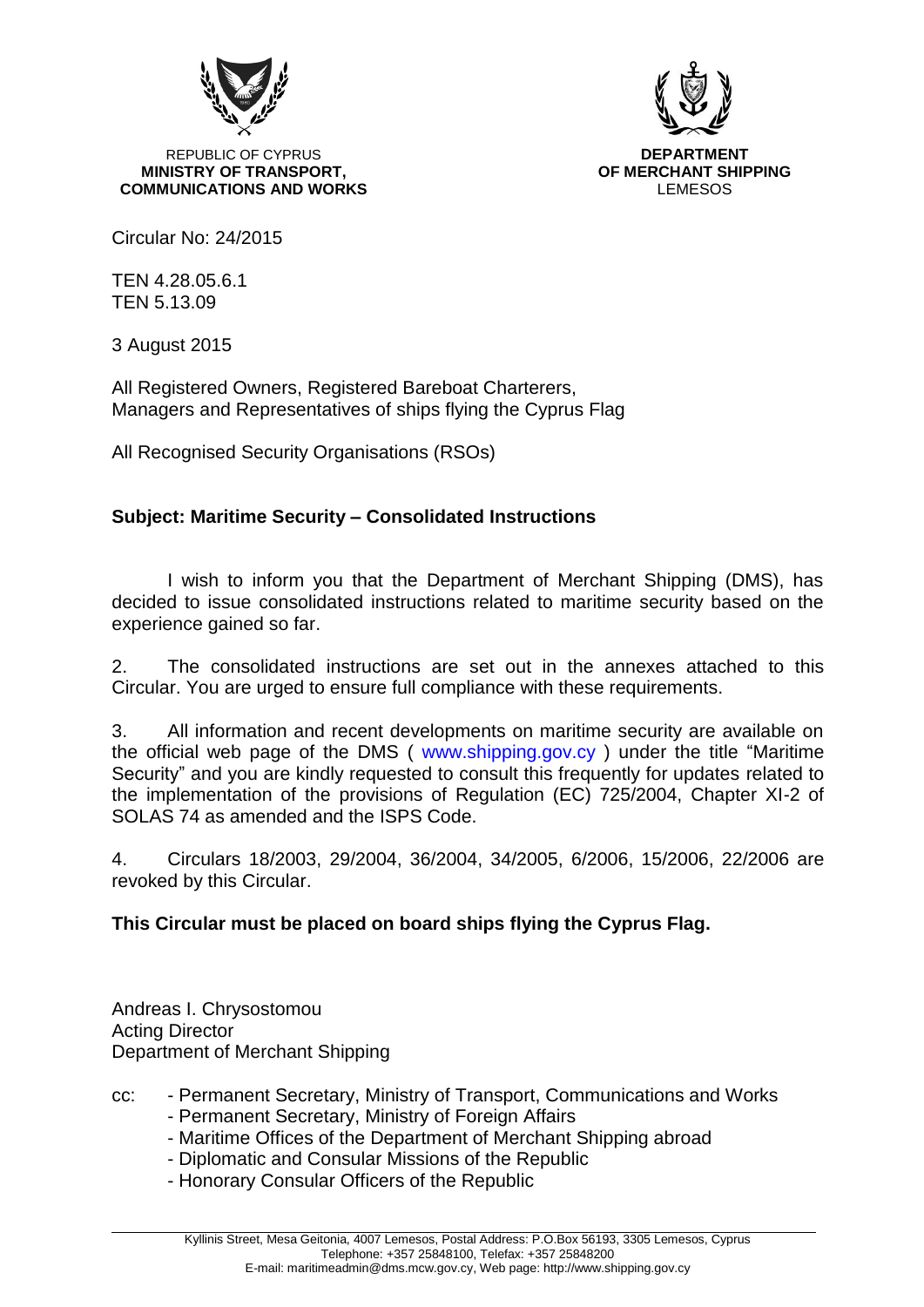

**REPUBLIC OF CYPRUS AND REPUBLIC OF CYPRUS MINISTRY OF TRANSPORT, OF MERCHANT SHIPPING COMMUNICATIONS AND WORKS LEMESOS** 



Circular No: 24/2015

TEN 4.28.05.6.1 TEN 5.13.09

3 August 2015

All Registered Owners, Registered Bareboat Charterers, Managers and Representatives of ships flying the Cyprus Flag

All Recognised Security Organisations (RSOs)

# **Subject: Maritime Security – Consolidated Instructions**

I wish to inform you that the Department of Merchant Shipping (DMS), has decided to issue consolidated instructions related to maritime security based on the experience gained so far.

2. The consolidated instructions are set out in the annexes attached to this Circular. You are urged to ensure full compliance with these requirements.

3. All information and recent developments on maritime security are available on the official web page of the DMS ( www.shipping.gov.cy ) under the title "Maritime Security" and you are kindly requested to consult this frequently for updates related to the implementation of the provisions of Regulation (EC) 725/2004, Chapter XI-2 of SOLAS 74 as amended and the ISPS Code.

4. Circulars 18/2003, 29/2004, 36/2004, 34/2005, 6/2006, 15/2006, 22/2006 are revoked by this Circular.

# **This Circular must be placed on board ships flying the Cyprus Flag.**

Andreas I. Chrysostomou Acting Director Department of Merchant Shipping

- cc: Permanent Secretary, Ministry of Transport, Communications and Works - Permanent Secretary, Ministry of Foreign Affairs
	- Maritime Offices of the Department of Merchant Shipping abroad
	- Diplomatic and Consular Missions of the Republic
	- Honorary Consular Officers of the Republic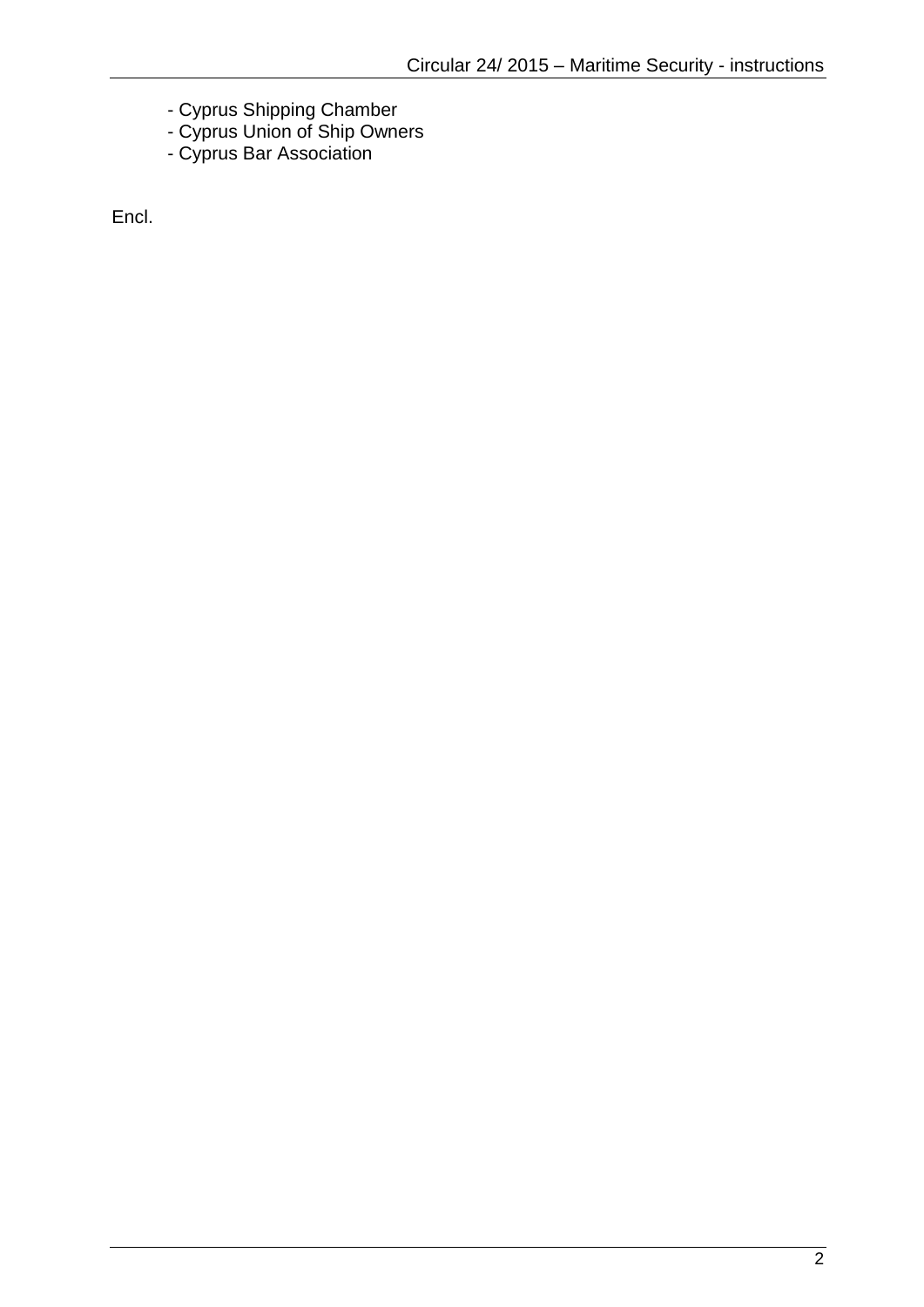- Cyprus Shipping Chamber
- Cyprus Union of Ship Owners
- Cyprus Bar Association

Encl.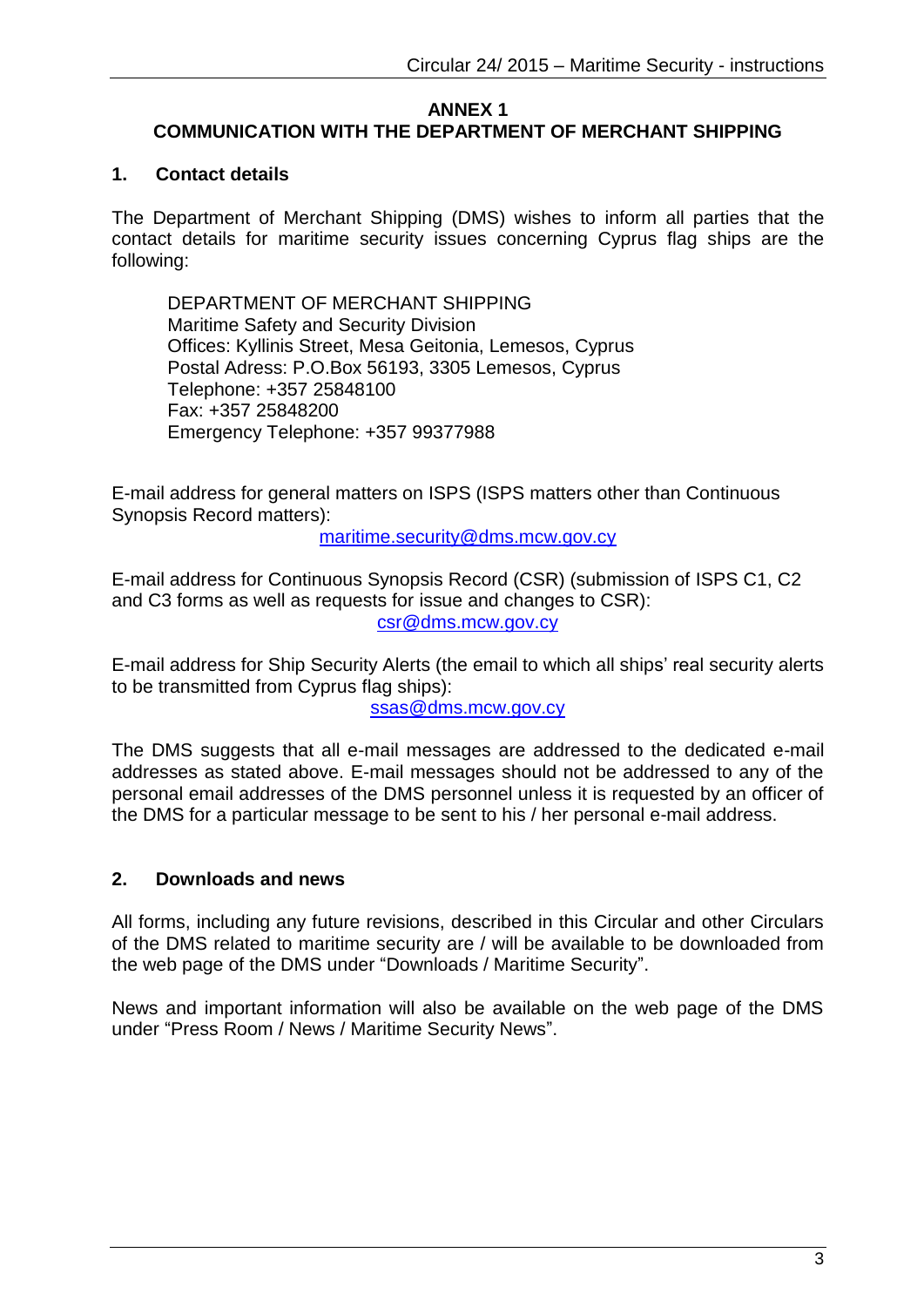#### **ANNEX 1 COMMUNICATION WITH THE DEPARTMENT OF MERCHANT SHIPPING**

### **1. Contact details**

The Department of Merchant Shipping (DMS) wishes to inform all parties that the contact details for maritime security issues concerning Cyprus flag ships are the following:

DEPARTMENT OF MERCHANT SHIPPING Maritime Safety and Security Division Offices: Kyllinis Street, Mesa Geitonia, Lemesos, Cyprus Postal Adress: P.O.Box 56193, 3305 Lemesos, Cyprus Telephone: +357 25848100 Fax: +357 25848200 Emergency Telephone: +357 99377988

E-mail address for general matters on ISPS (ISPS matters other than Continuous Synopsis Record matters):

[maritime.security@dms.mcw.gov.cy](mailto:maritime.security@dms.mcw.gov.cy)

E-mail address for Continuous Synopsis Record (CSR) (submission of ISPS C1, C2 and C3 forms as well as requests for issue and changes to CSR): [csr@dms.mcw.gov.cy](mailto:csr@dms.mcw.gov.cy)

E-mail address for Ship Security Alerts (the email to which all ships' real security alerts to be transmitted from Cyprus flag ships):

[ssas@dms.mcw.gov.cy](mailto:ssas@dms.mcw.gov.cy)

The DMS suggests that all e-mail messages are addressed to the dedicated e-mail addresses as stated above. E-mail messages should not be addressed to any of the personal email addresses of the DMS personnel unless it is requested by an officer of the DMS for a particular message to be sent to his / her personal e-mail address.

# **2. Downloads and news**

All forms, including any future revisions, described in this Circular and other Circulars of the DMS related to maritime security are / will be available to be downloaded from the web page of the DMS under "Downloads / Maritime Security".

News and important information will also be available on the web page of the DMS under "Press Room / News / Maritime Security News".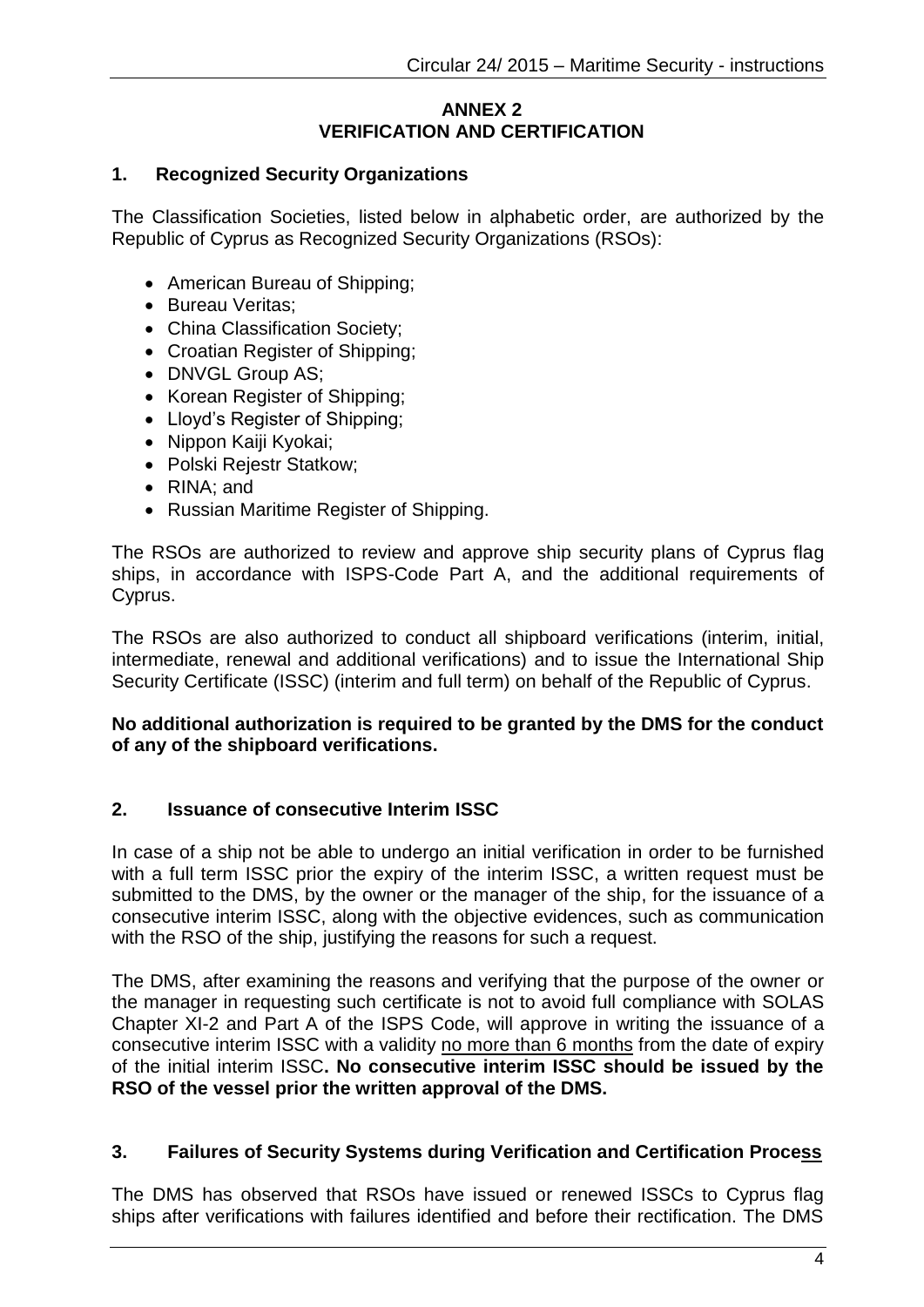### **ANNEX 2 VERIFICATION AND CERTIFICATION**

### **1. Recognized Security Organizations**

The Classification Societies, listed below in alphabetic order, are authorized by the Republic of Cyprus as Recognized Security Organizations (RSOs):

- American Bureau of Shipping;
- Bureau Veritas:
- China Classification Society;
- Croatian Register of Shipping;
- DNVGL Group AS;
- Korean Register of Shipping;
- Lloyd's Register of Shipping:
- Nippon Kaiji Kyokai;
- Polski Rejestr Statkow;
- RINA: and
- Russian Maritime Register of Shipping.

The RSOs are authorized to review and approve ship security plans of Cyprus flag ships, in accordance with ISPS-Code Part A, and the additional requirements of Cyprus.

The RSOs are also authorized to conduct all shipboard verifications (interim, initial, intermediate, renewal and additional verifications) and to issue the International Ship Security Certificate (ISSC) (interim and full term) on behalf of the Republic of Cyprus.

### **No additional authorization is required to be granted by the DMS for the conduct of any of the shipboard verifications.**

### **2. Issuance of consecutive Interim ISSC**

In case of a ship not be able to undergo an initial verification in order to be furnished with a full term ISSC prior the expiry of the interim ISSC, a written request must be submitted to the DMS, by the owner or the manager of the ship, for the issuance of a consecutive interim ISSC, along with the objective evidences, such as communication with the RSO of the ship, justifying the reasons for such a request.

The DMS, after examining the reasons and verifying that the purpose of the owner or the manager in requesting such certificate is not to avoid full compliance with SOLAS Chapter XI-2 and Part A of the ISPS Code, will approve in writing the issuance of a consecutive interim ISSC with a validity no more than 6 months from the date of expiry of the initial interim ISSC**. No consecutive interim ISSC should be issued by the RSO of the vessel prior the written approval of the DMS.**

### **3. Failures of Security Systems during Verification and Certification Process**

The DMS has observed that RSOs have issued or renewed ISSCs to Cyprus flag ships after verifications with failures identified and before their rectification. The DMS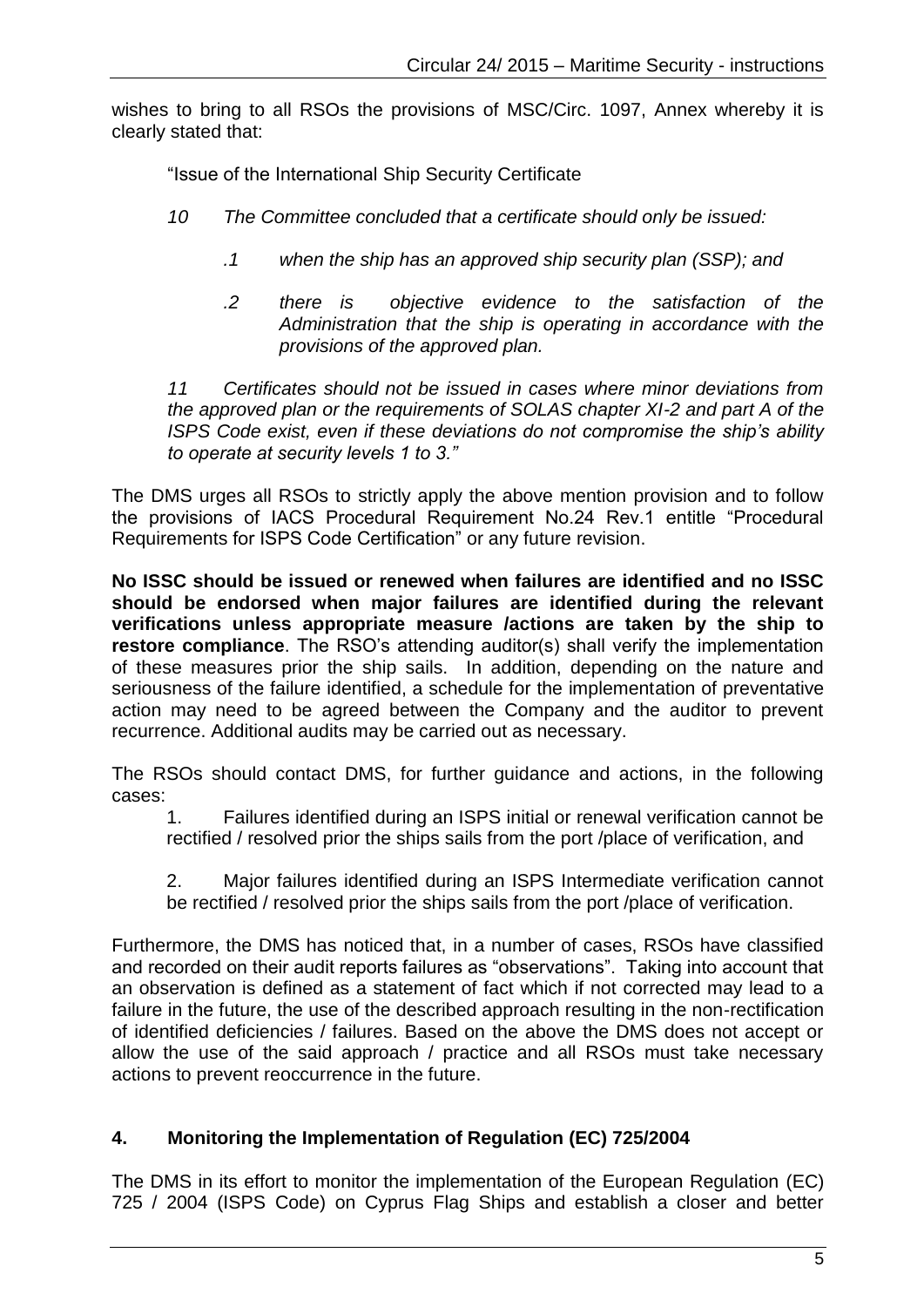wishes to bring to all RSOs the provisions of MSC/Circ. 1097, Annex whereby it is clearly stated that:

"Issue of the International Ship Security Certificate

- *10 The Committee concluded that a certificate should only be issued:*
	- *.1 when the ship has an approved ship security plan (SSP); and*
	- *.2 there is objective evidence to the satisfaction of the Administration that the ship is operating in accordance with the provisions of the approved plan.*

*11 Certificates should not be issued in cases where minor deviations from the approved plan or the requirements of SOLAS chapter XI-2 and part A of the ISPS Code exist, even if these deviations do not compromise the ship's ability to operate at security levels 1 to 3."*

The DMS urges all RSOs to strictly apply the above mention provision and to follow the provisions of IACS Procedural Requirement No.24 Rev.1 entitle "Procedural Requirements for ISPS Code Certification" or any future revision.

**No ISSC should be issued or renewed when failures are identified and no ISSC should be endorsed when major failures are identified during the relevant verifications unless appropriate measure /actions are taken by the ship to restore compliance**. The RSO's attending auditor(s) shall verify the implementation of these measures prior the ship sails. In addition, depending on the nature and seriousness of the failure identified, a schedule for the implementation of preventative action may need to be agreed between the Company and the auditor to prevent recurrence. Additional audits may be carried out as necessary.

The RSOs should contact DMS, for further guidance and actions, in the following cases:

1. Failures identified during an ISPS initial or renewal verification cannot be rectified / resolved prior the ships sails from the port /place of verification, and

2. Major failures identified during an ISPS Intermediate verification cannot be rectified / resolved prior the ships sails from the port /place of verification.

Furthermore, the DMS has noticed that, in a number of cases, RSOs have classified and recorded on their audit reports failures as "observations". Taking into account that an observation is defined as a statement of fact which if not corrected may lead to a failure in the future, the use of the described approach resulting in the non-rectification of identified deficiencies / failures. Based on the above the DMS does not accept or allow the use of the said approach / practice and all RSOs must take necessary actions to prevent reoccurrence in the future.

# **4. Monitoring the Implementation of Regulation (EC) 725/2004**

The DMS in its effort to monitor the implementation of the European Regulation (EC) 725 / 2004 (ISPS Code) on Cyprus Flag Ships and establish a closer and better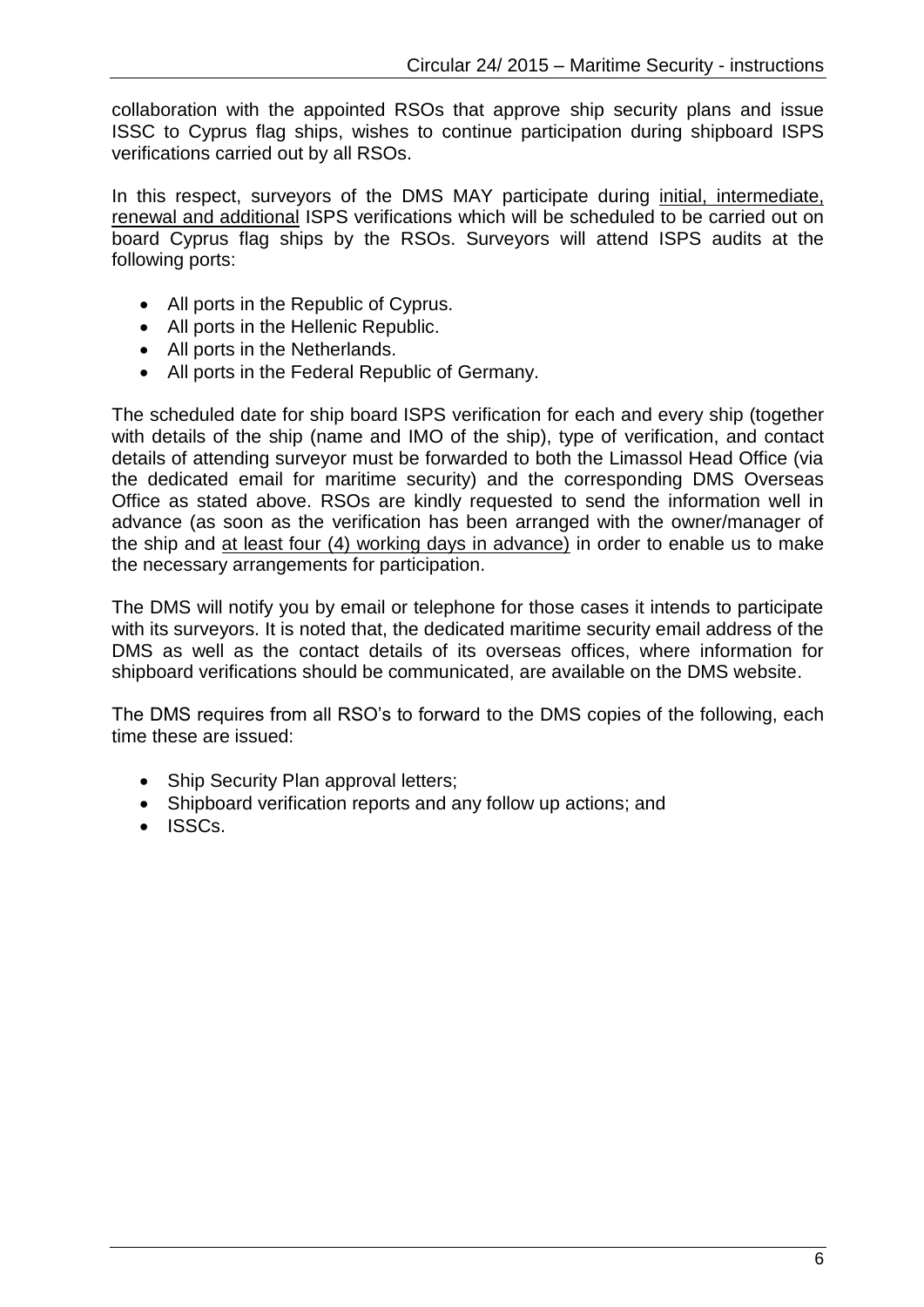collaboration with the appointed RSOs that approve ship security plans and issue ISSC to Cyprus flag ships, wishes to continue participation during shipboard ISPS verifications carried out by all RSOs.

In this respect, surveyors of the DMS MAY participate during initial, intermediate, renewal and additional ISPS verifications which will be scheduled to be carried out on board Cyprus flag ships by the RSOs. Surveyors will attend ISPS audits at the following ports:

- All ports in the Republic of Cyprus.
- All ports in the Hellenic Republic.
- All ports in the Netherlands.
- All ports in the Federal Republic of Germany.

The scheduled date for ship board ISPS verification for each and every ship (together with details of the ship (name and IMO of the ship), type of verification, and contact details of attending surveyor must be forwarded to both the Limassol Head Office (via the dedicated email for maritime security) and the corresponding DMS Overseas Office as stated above. RSOs are kindly requested to send the information well in advance (as soon as the verification has been arranged with the owner/manager of the ship and at least four (4) working days in advance) in order to enable us to make the necessary arrangements for participation.

The DMS will notify you by email or telephone for those cases it intends to participate with its surveyors. It is noted that, the dedicated maritime security email address of the DMS as well as the contact details of its overseas offices, where information for shipboard verifications should be communicated, are available on the DMS website.

The DMS requires from all RSO's to forward to the DMS copies of the following, each time these are issued:

- Ship Security Plan approval letters;
- Shipboard verification reports and any follow up actions; and
- $\bullet$  ISSCs.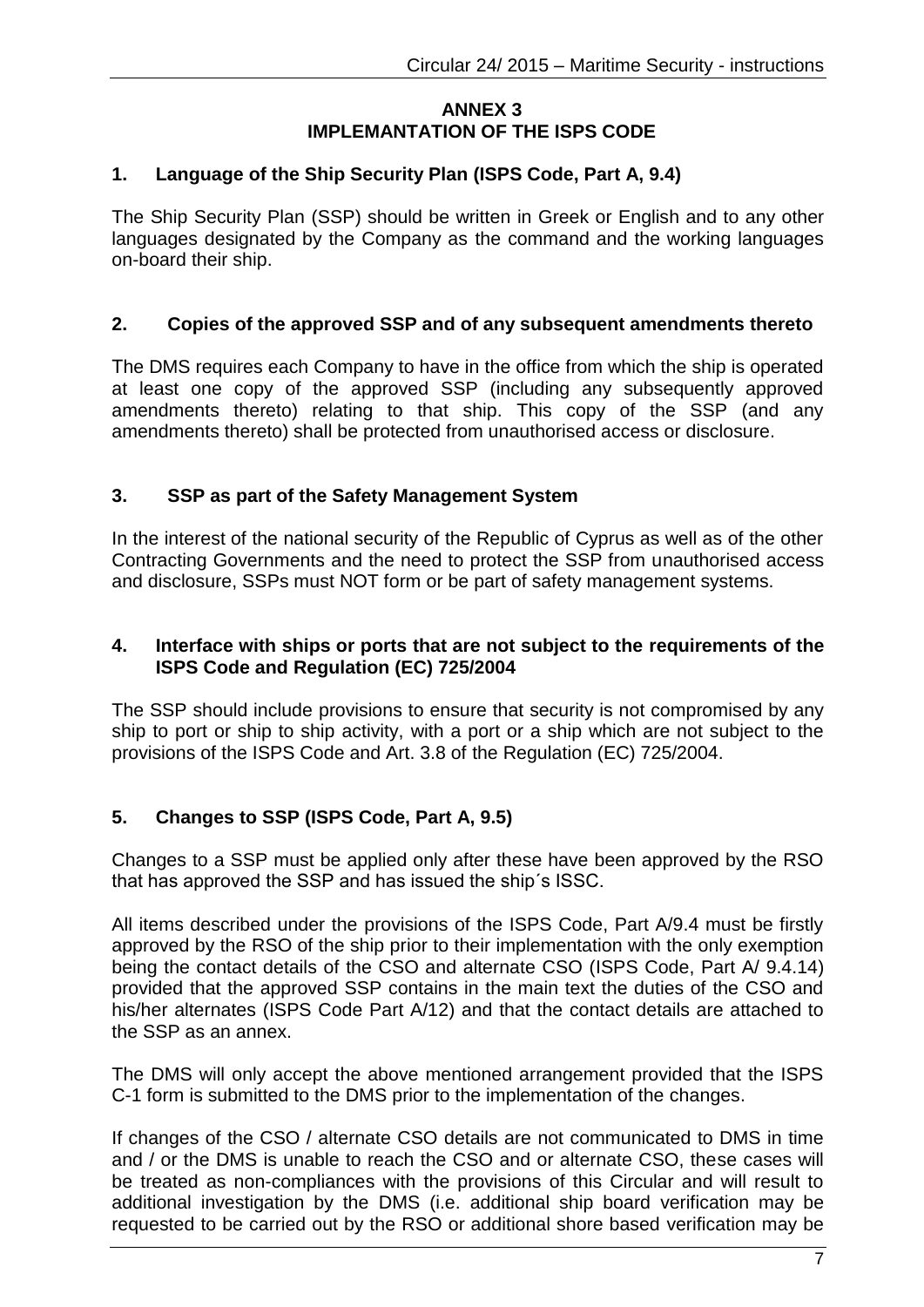### **ANNEX 3 IMPLEMANTATION OF THE ISPS CODE**

### **1. Language of the Ship Security Plan (ISPS Code, Part A, 9.4)**

The Ship Security Plan (SSP) should be written in Greek or English and to any other languages designated by the Company as the command and the working languages on-board their ship.

### **2. Copies of the approved SSP and of any subsequent amendments thereto**

Τhe DMS requires each Company to have in the office from which the ship is operated at least one copy of the approved SSP (including any subsequently approved amendments thereto) relating to that ship. This copy of the SSP (and any amendments thereto) shall be protected from unauthorised access or disclosure.

### **3. SSP as part of the Safety Management System**

In the interest of the national security of the Republic of Cyprus as well as of the other Contracting Governments and the need to protect the SSP from unauthorised access and disclosure, SSPs must NOT form or be part of safety management systems.

#### **4. Interface with ships or ports that are not subject to the requirements of the ISPS Code and Regulation (EC) 725/2004**

The SSP should include provisions to ensure that security is not compromised by any ship to port or ship to ship activity, with a port or a ship which are not subject to the provisions of the ISPS Code and Art. 3.8 of the Regulation (EC) 725/2004.

### **5. Changes to SSP (ISPS Code, Part A, 9.5)**

Changes to a SSP must be applied only after these have been approved by the RSO that has approved the SSP and has issued the ship´s ISSC.

All items described under the provisions of the ISPS Code, Part A/9.4 must be firstly approved by the RSO of the ship prior to their implementation with the only exemption being the contact details of the CSO and alternate CSO (ISPS Code, Part A/ 9.4.14) provided that the approved SSP contains in the main text the duties of the CSO and his/her alternates (ISPS Code Part A/12) and that the contact details are attached to the SSP as an annex.

The DMS will only accept the above mentioned arrangement provided that the ISPS C-1 form is submitted to the DMS prior to the implementation of the changes.

If changes of the CSO / alternate CSO details are not communicated to DMS in time and / or the DMS is unable to reach the CSO and or alternate CSO, these cases will be treated as non-compliances with the provisions of this Circular and will result to additional investigation by the DMS (i.e. additional ship board verification may be requested to be carried out by the RSO or additional shore based verification may be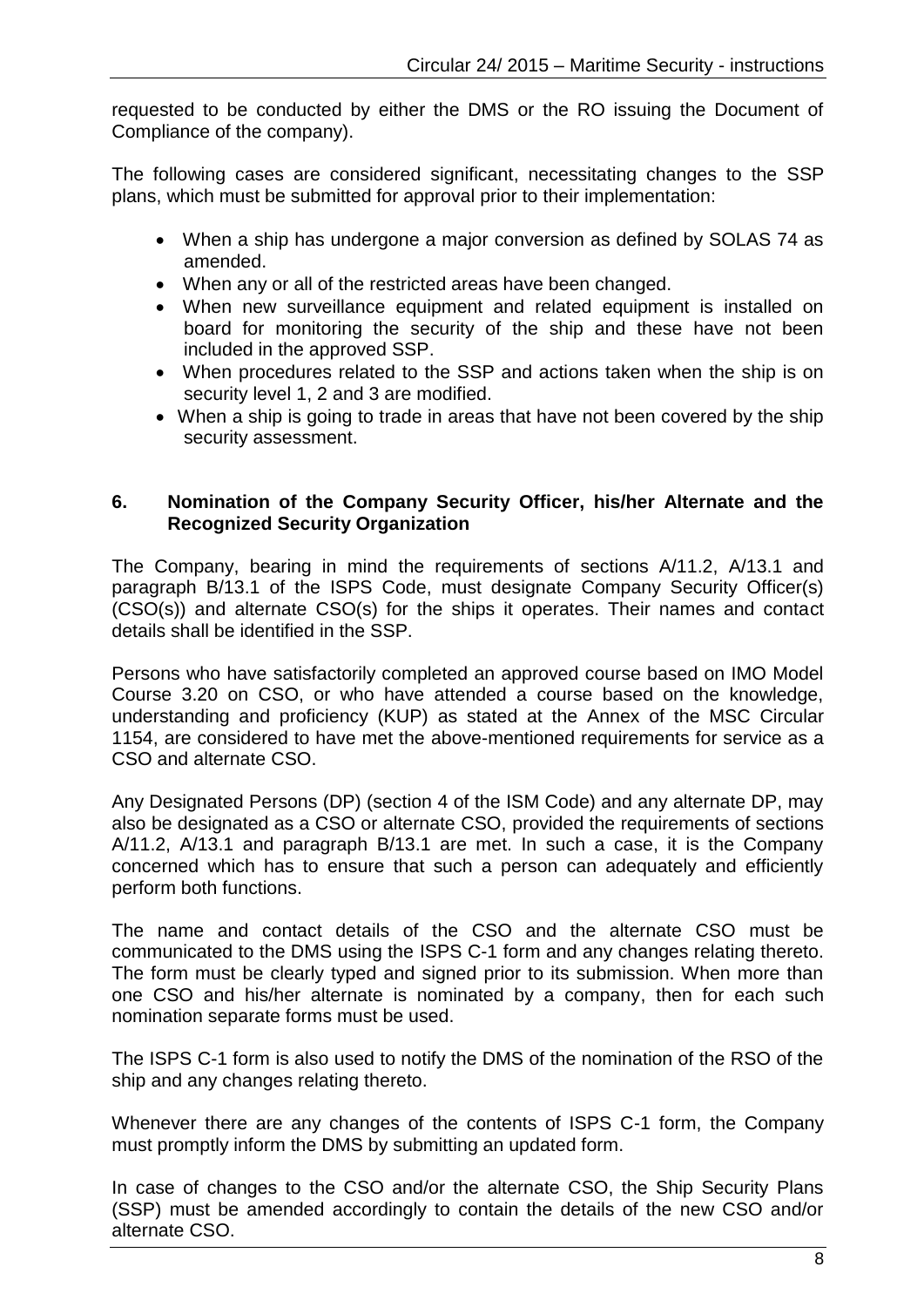requested to be conducted by either the DMS or the RO issuing the Document of Compliance of the company).

The following cases are considered significant, necessitating changes to the SSP plans, which must be submitted for approval prior to their implementation:

- When a ship has undergone a major conversion as defined by SOLAS 74 as amended.
- When any or all of the restricted areas have been changed.
- When new surveillance equipment and related equipment is installed on board for monitoring the security of the ship and these have not been included in the approved SSP.
- When procedures related to the SSP and actions taken when the ship is on security level 1, 2 and 3 are modified.
- When a ship is going to trade in areas that have not been covered by the ship security assessment.

### **6. Nomination of the Company Security Officer, his/her Alternate and the Recognized Security Organization**

The Company, bearing in mind the requirements of sections A/11.2, A/13.1 and paragraph B/13.1 of the ISPS Code, must designate Company Security Officer(s) (CSO(s)) and alternate CSO(s) for the ships it operates. Their names and contact details shall be identified in the SSP.

Persons who have satisfactorily completed an approved course based on IMO Model Course 3.20 on CSO, or who have attended a course based on the knowledge, understanding and proficiency (KUP) as stated at the Annex of the MSC Circular 1154, are considered to have met the above-mentioned requirements for service as a CSO and alternate CSO.

Any Designated Persons (DP) (section 4 of the ISM Code) and any alternate DP, may also be designated as a CSO or alternate CSO, provided the requirements of sections A/11.2, A/13.1 and paragraph B/13.1 are met. In such a case, it is the Company concerned which has to ensure that such a person can adequately and efficiently perform both functions.

The name and contact details of the CSO and the alternate CSO must be communicated to the DMS using the ISPS C-1 form and any changes relating thereto. The form must be clearly typed and signed prior to its submission. When more than one CSO and his/her alternate is nominated by a company, then for each such nomination separate forms must be used.

The ISPS C-1 form is also used to notify the DMS of the nomination of the RSO of the ship and any changes relating thereto.

Whenever there are any changes of the contents of ISPS C-1 form, the Company must promptly inform the DMS by submitting an updated form.

In case of changes to the CSO and/or the alternate CSO, the Ship Security Plans (SSP) must be amended accordingly to contain the details of the new CSO and/or alternate CSO.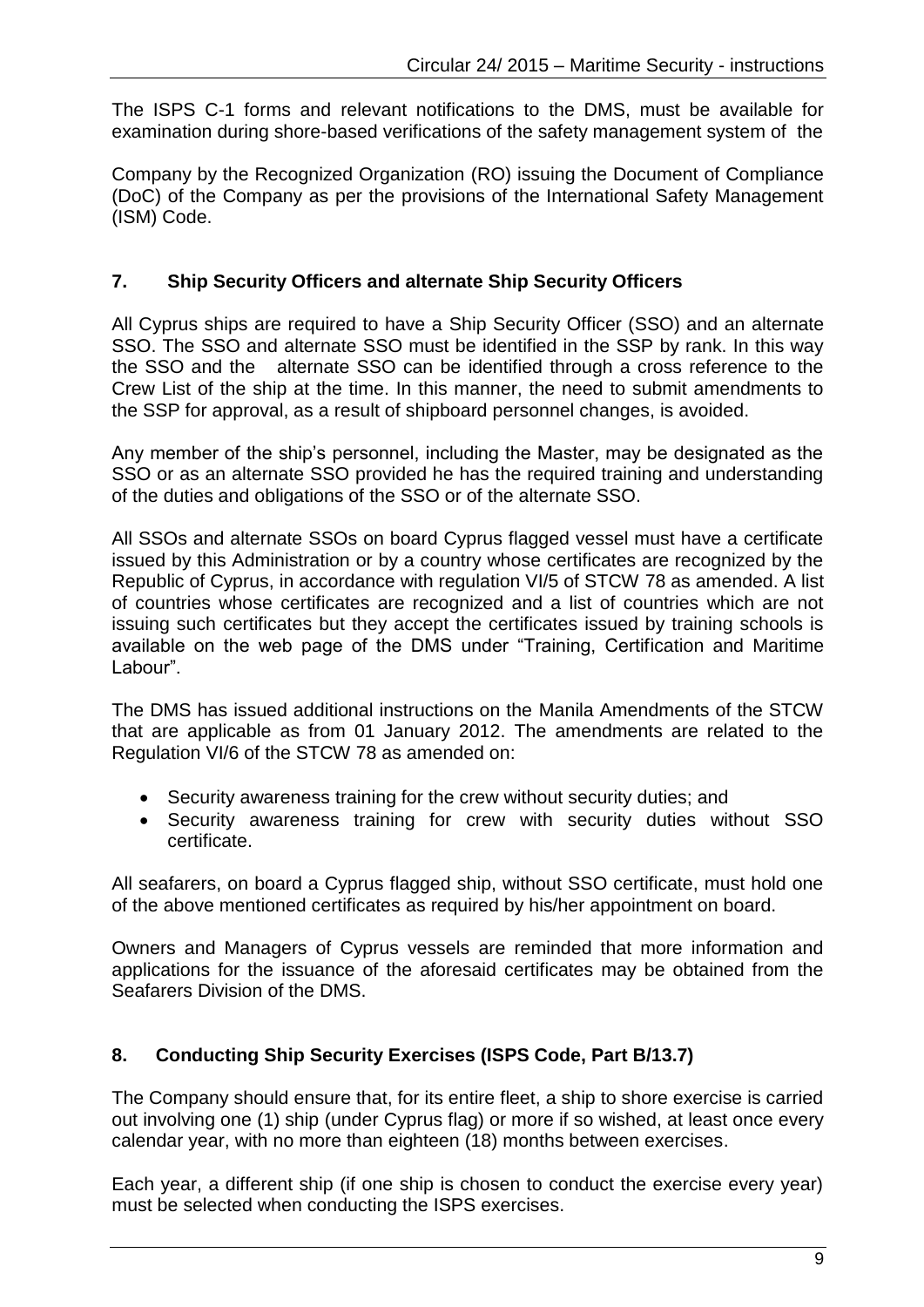The ISPS C-1 forms and relevant notifications to the DMS, must be available for examination during shore-based verifications of the safety management system of the

Company by the Recognized Organization (RO) issuing the Document of Compliance (DoC) of the Company as per the provisions of the International Safety Management (ISM) Code.

# **7. Ship Security Officers and alternate Ship Security Officers**

All Cyprus ships are required to have a Ship Security Officer (SSO) and an alternate SSO. The SSO and alternate SSO must be identified in the SSP by rank. In this way the SSO and the alternate SSO can be identified through a cross reference to the Crew List of the ship at the time. In this manner, the need to submit amendments to the SSP for approval, as a result of shipboard personnel changes, is avoided.

Any member of the ship's personnel, including the Master, may be designated as the SSO or as an alternate SSO provided he has the required training and understanding of the duties and obligations of the SSO or of the alternate SSO.

All SSOs and alternate SSOs on board Cyprus flagged vessel must have a certificate issued by this Administration or by a country whose certificates are recognized by the Republic of Cyprus, in accordance with regulation VI/5 of STCW 78 as amended. A list of countries whose certificates are recognized and a list of countries which are not issuing such certificates but they accept the certificates issued by training schools is available on the web page of the DMS under "Training, Certification and Maritime Labour".

The DMS has issued additional instructions on the Manila Amendments of the STCW that are applicable as from 01 January 2012. The amendments are related to the Regulation VI/6 of the STCW 78 as amended on:

- Security awareness training for the crew without security duties; and
- Security awareness training for crew with security duties without SSO certificate.

All seafarers, on board a Cyprus flagged ship, without SSO certificate, must hold one of the above mentioned certificates as required by his/her appointment on board.

Owners and Managers of Cyprus vessels are reminded that more information and applications for the issuance of the aforesaid certificates may be obtained from the Seafarers Division of the DMS.

# **8. Conducting Ship Security Exercises (ISPS Code, Part B/13.7)**

The Company should ensure that, for its entire fleet, a ship to shore exercise is carried out involving one (1) ship (under Cyprus flag) or more if so wished, at least once every calendar year, with no more than eighteen (18) months between exercises.

Each year, a different ship (if one ship is chosen to conduct the exercise every year) must be selected when conducting the ISPS exercises.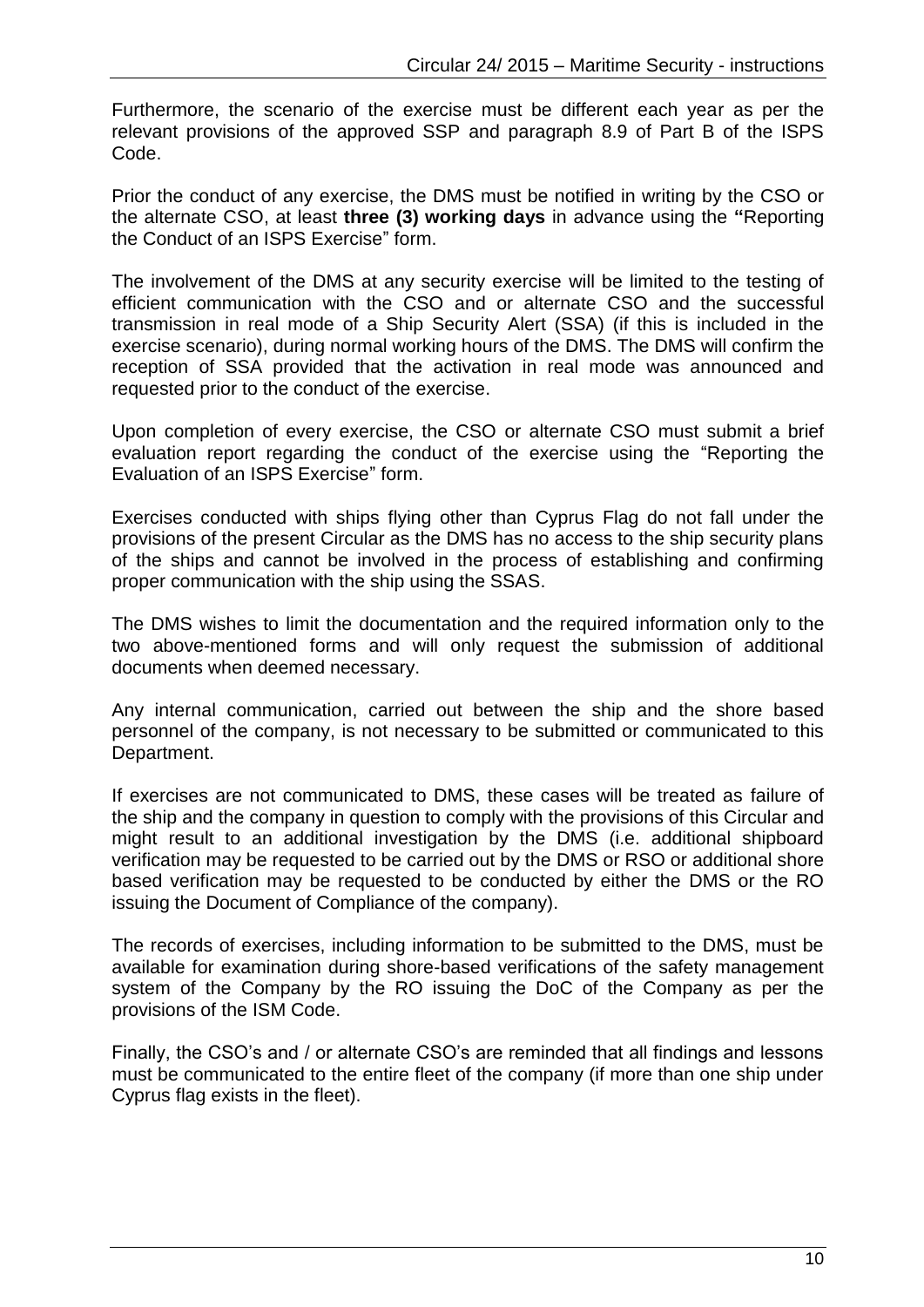Furthermore, the scenario of the exercise must be different each year as per the relevant provisions of the approved SSP and paragraph 8.9 of Part B of the ISPS Code.

Prior the conduct of any exercise, the DMS must be notified in writing by the CSO or the alternate CSO, at least **three (3) working days** in advance using the **"**Reporting the Conduct of an ISPS Exercise" form.

The involvement of the DMS at any security exercise will be limited to the testing of efficient communication with the CSO and or alternate CSO and the successful transmission in real mode of a Ship Security Alert (SSA) (if this is included in the exercise scenario), during normal working hours of the DMS. The DMS will confirm the reception of SSA provided that the activation in real mode was announced and requested prior to the conduct of the exercise.

Upon completion of every exercise, the CSO or alternate CSO must submit a brief evaluation report regarding the conduct of the exercise using the "Reporting the Evaluation of an ISPS Exercise" form.

Exercises conducted with ships flying other than Cyprus Flag do not fall under the provisions of the present Circular as the DMS has no access to the ship security plans of the ships and cannot be involved in the process of establishing and confirming proper communication with the ship using the SSAS.

The DMS wishes to limit the documentation and the required information only to the two above-mentioned forms and will only request the submission of additional documents when deemed necessary.

Any internal communication, carried out between the ship and the shore based personnel of the company, is not necessary to be submitted or communicated to this Department.

If exercises are not communicated to DMS, these cases will be treated as failure of the ship and the company in question to comply with the provisions of this Circular and might result to an additional investigation by the DMS (i.e. additional shipboard verification may be requested to be carried out by the DMS or RSO or additional shore based verification may be requested to be conducted by either the DMS or the RO issuing the Document of Compliance of the company).

The records of exercises, including information to be submitted to the DMS, must be available for examination during shore-based verifications of the safety management system of the Company by the RO issuing the DoC of the Company as per the provisions of the ISM Code.

Finally, the CSO's and / or alternate CSO's are reminded that all findings and lessons must be communicated to the entire fleet of the company (if more than one ship under Cyprus flag exists in the fleet).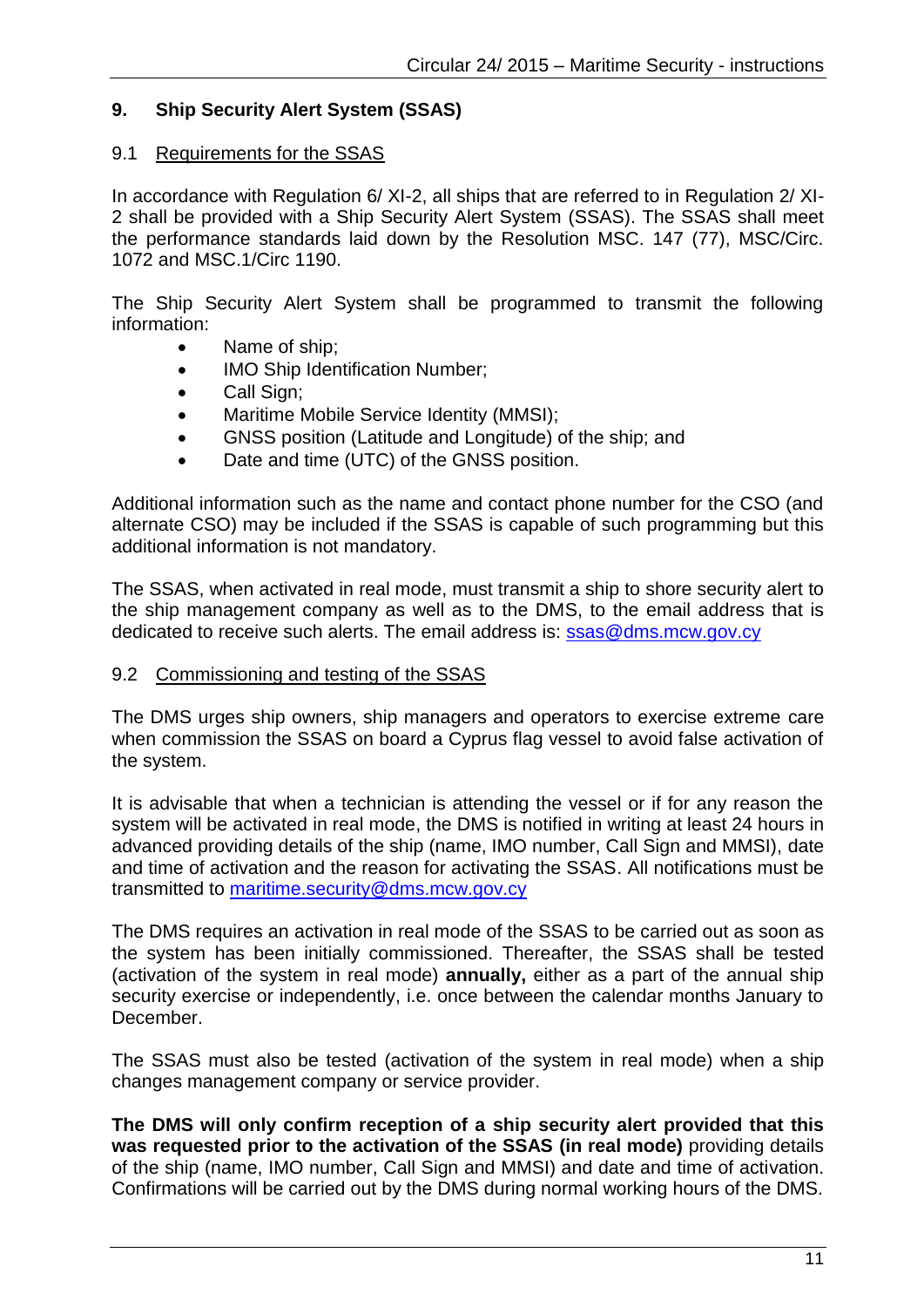# **9. Ship Security Alert System (SSAS)**

### 9.1 Requirements for the SSAS

In accordance with Regulation 6/ XI-2, all ships that are referred to in Regulation 2/ XI-2 shall be provided with a Ship Security Alert System (SSAS). The SSAS shall meet the performance standards laid down by the Resolution MSC. 147 (77), MSC/Circ. 1072 and MSC.1/Circ 1190.

The Ship Security Alert System shall be programmed to transmit the following information:

- Name of ship;
- IMO Ship Identification Number;
- Call Sign;
- Maritime Mobile Service Identity (MMSI);
- GNSS position (Latitude and Longitude) of the ship; and
- Date and time (UTC) of the GNSS position.

Additional information such as the name and contact phone number for the CSO (and alternate CSO) may be included if the SSAS is capable of such programming but this additional information is not mandatory.

The SSAS, when activated in real mode, must transmit a ship to shore security alert to the ship management company as well as to the DMS, to the email address that is dedicated to receive such alerts. The email address is: [ssas@dms.mcw.gov.cy](mailto:ssas@dms.mcw.gov.cy)

#### 9.2 Commissioning and testing of the SSAS

The DMS urges ship owners, ship managers and operators to exercise extreme care when commission the SSAS on board a Cyprus flag vessel to avoid false activation of the system.

It is advisable that when a technician is attending the vessel or if for any reason the system will be activated in real mode, the DMS is notified in writing at least 24 hours in advanced providing details of the ship (name, IMO number, Call Sign and MMSI), date and time of activation and the reason for activating the SSAS. All notifications must be transmitted to [maritime.security@dms.mcw.gov.cy](mailto:maritime.security@dms.mcw.gov.cy)

The DMS requires an activation in real mode of the SSAS to be carried out as soon as the system has been initially commissioned. Thereafter, the SSAS shall be tested (activation of the system in real mode) **annually,** either as a part of the annual ship security exercise or independently, i.e. once between the calendar months January to December.

The SSAS must also be tested (activation of the system in real mode) when a ship changes management company or service provider.

**The DMS will only confirm reception of a ship security alert provided that this was requested prior to the activation of the SSAS (in real mode)** providing details of the ship (name, IMO number, Call Sign and MMSI) and date and time of activation. Confirmations will be carried out by the DMS during normal working hours of the DMS.